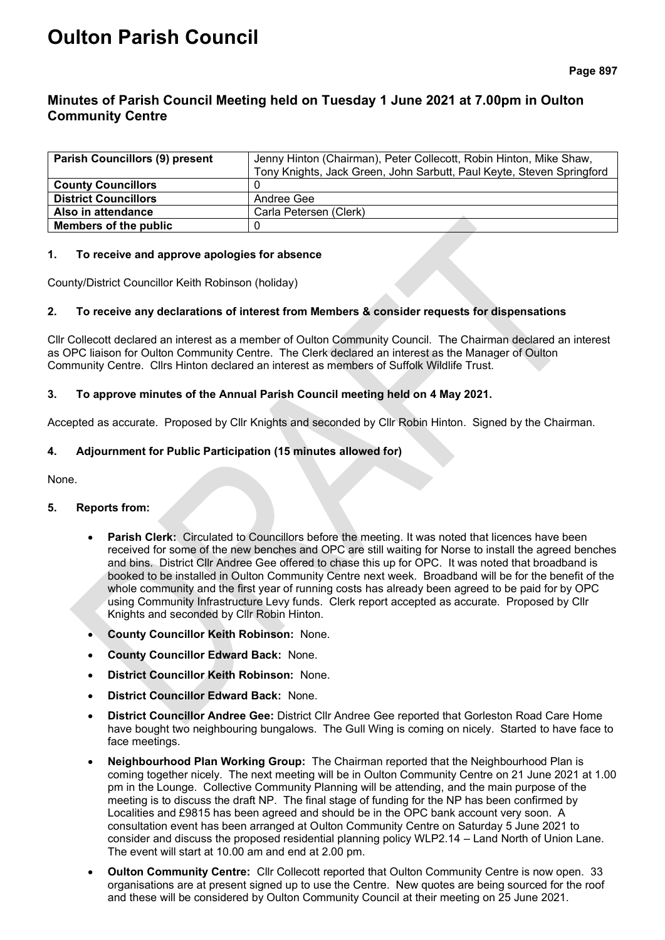# **Oulton Parish Council**

# **Minutes of Parish Council Meeting held on Tuesday 1 June 2021 at 7.00pm in Oulton Community Centre**

| <b>Parish Councillors (9) present</b> | Jenny Hinton (Chairman), Peter Collecott, Robin Hinton, Mike Shaw,<br>Tony Knights, Jack Green, John Sarbutt, Paul Keyte, Steven Springford |
|---------------------------------------|---------------------------------------------------------------------------------------------------------------------------------------------|
| <b>County Councillors</b>             |                                                                                                                                             |
| <b>District Councillors</b>           | Andree Gee                                                                                                                                  |
| Also in attendance                    | Carla Petersen (Clerk)                                                                                                                      |
| Members of the public                 |                                                                                                                                             |

#### **1. To receive and approve apologies for absence**

County/District Councillor Keith Robinson (holiday)

# **2. To receive any declarations of interest from Members & consider requests for dispensations**

Cllr Collecott declared an interest as a member of Oulton Community Council. The Chairman declared an interest as OPC liaison for Oulton Community Centre. The Clerk declared an interest as the Manager of Oulton Community Centre. Cllrs Hinton declared an interest as members of Suffolk Wildlife Trust.

#### **3. To approve minutes of the Annual Parish Council meeting held on 4 May 2021.**

Accepted as accurate. Proposed by Cllr Knights and seconded by Cllr Robin Hinton. Signed by the Chairman.

# **4. Adjournment for Public Participation (15 minutes allowed for)**

None.

# **5. Reports from:**

- **Parish Clerk:** Circulated to Councillors before the meeting. It was noted that licences have been received for some of the new benches and OPC are still waiting for Norse to install the agreed benches and bins. District Cllr Andree Gee offered to chase this up for OPC. It was noted that broadband is booked to be installed in Oulton Community Centre next week. Broadband will be for the benefit of the whole community and the first year of running costs has already been agreed to be paid for by OPC using Community Infrastructure Levy funds. Clerk report accepted as accurate. Proposed by Cllr Knights and seconded by Cllr Robin Hinton.
- **County Councillor Keith Robinson:** None.
- **County Councillor Edward Back:** None.
- **District Councillor Keith Robinson:** None.
- **District Councillor Edward Back:** None.
- **District Councillor Andree Gee:** District Cllr Andree Gee reported that Gorleston Road Care Home have bought two neighbouring bungalows. The Gull Wing is coming on nicely. Started to have face to face meetings.
- **Neighbourhood Plan Working Group:** The Chairman reported that the Neighbourhood Plan is coming together nicely. The next meeting will be in Oulton Community Centre on 21 June 2021 at 1.00 pm in the Lounge. Collective Community Planning will be attending, and the main purpose of the meeting is to discuss the draft NP. The final stage of funding for the NP has been confirmed by Localities and £9815 has been agreed and should be in the OPC bank account very soon. A consultation event has been arranged at Oulton Community Centre on Saturday 5 June 2021 to consider and discuss the proposed residential planning policy WLP2.14 – Land North of Union Lane. The event will start at 10.00 am and end at 2.00 pm.
- **Oulton Community Centre:** Cllr Collecott reported that Oulton Community Centre is now open. 33 organisations are at present signed up to use the Centre. New quotes are being sourced for the roof and these will be considered by Oulton Community Council at their meeting on 25 June 2021.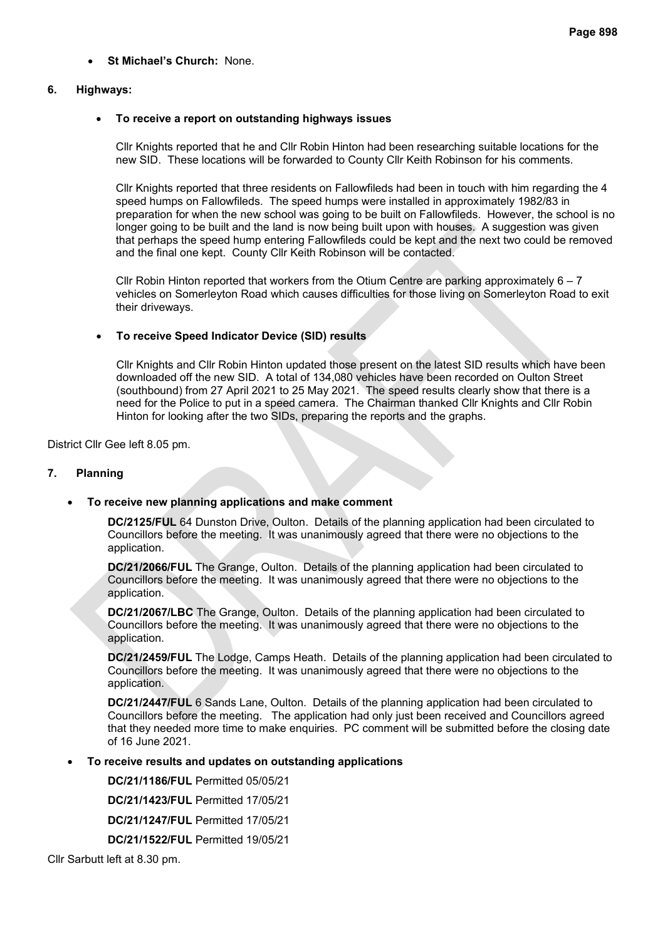• **St Michael's Church:** None.

#### **6. Highways:**

#### • **To receive a report on outstanding highways issues**

Cllr Knights reported that he and Cllr Robin Hinton had been researching suitable locations for the new SID. These locations will be forwarded to County Cllr Keith Robinson for his comments.

Cllr Knights reported that three residents on Fallowfileds had been in touch with him regarding the 4 speed humps on Fallowfileds. The speed humps were installed in approximately 1982/83 in preparation for when the new school was going to be built on Fallowfileds. However, the school is no longer going to be built and the land is now being built upon with houses. A suggestion was given that perhaps the speed hump entering Fallowfileds could be kept and the next two could be removed and the final one kept. County Cllr Keith Robinson will be contacted.

Cllr Robin Hinton reported that workers from the Otium Centre are parking approximately  $6 - 7$ vehicles on Somerleyton Road which causes difficulties for those living on Somerleyton Road to exit their driveways.

# • **To receive Speed Indicator Device (SID) results**

Cllr Knights and Cllr Robin Hinton updated those present on the latest SID results which have been downloaded off the new SID. A total of 134,080 vehicles have been recorded on Oulton Street (southbound) from 27 April 2021 to 25 May 2021. The speed results clearly show that there is a need for the Police to put in a speed camera. The Chairman thanked Cllr Knights and Cllr Robin Hinton for looking after the two SIDs, preparing the reports and the graphs.

District Cllr Gee left 8.05 pm.

#### **7. Planning**

# • **To receive new planning applications and make comment**

**DC/2125/FUL** 64 Dunston Drive, Oulton. Details of the planning application had been circulated to Councillors before the meeting. It was unanimously agreed that there were no objections to the application.

**DC/21/2066/FUL** The Grange, Oulton. Details of the planning application had been circulated to Councillors before the meeting. It was unanimously agreed that there were no objections to the application.

**DC/21/2067/LBC** The Grange, Oulton. Details of the planning application had been circulated to Councillors before the meeting. It was unanimously agreed that there were no objections to the application.

**DC/21/2459/FUL** The Lodge, Camps Heath. Details of the planning application had been circulated to Councillors before the meeting. It was unanimously agreed that there were no objections to the application.

**DC/21/2447/FUL** 6 Sands Lane, Oulton. Details of the planning application had been circulated to Councillors before the meeting. The application had only just been received and Councillors agreed that they needed more time to make enquiries. PC comment will be submitted before the closing date of 16 June 2021.

# • **To receive results and updates on outstanding applications**

**DC/21/1186/FUL** Permitted 05/05/21

**DC/21/1423/FUL** Permitted 17/05/21

**DC/21/1247/FUL** Permitted 17/05/21

**DC/21/1522/FUL** Permitted 19/05/21

Cllr Sarbutt left at 8.30 pm.